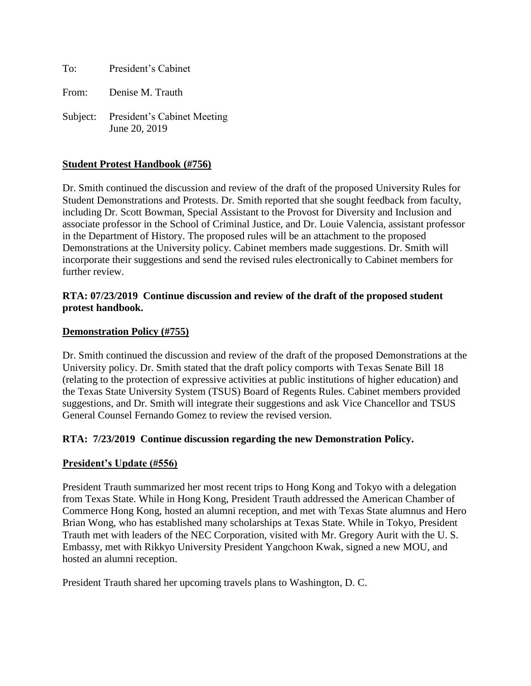To: President's Cabinet

From: Denise M. Trauth

Subject: President's Cabinet Meeting June 20, 2019

## **Student Protest Handbook (#756)**

Dr. Smith continued the discussion and review of the draft of the proposed University Rules for Student Demonstrations and Protests. Dr. Smith reported that she sought feedback from faculty, including Dr. Scott Bowman, Special Assistant to the Provost for Diversity and Inclusion and associate professor in the School of Criminal Justice, and Dr. Louie Valencia, assistant professor in the Department of History. The proposed rules will be an attachment to the proposed Demonstrations at the University policy. Cabinet members made suggestions. Dr. Smith will incorporate their suggestions and send the revised rules electronically to Cabinet members for further review.

### **RTA: 07/23/2019 Continue discussion and review of the draft of the proposed student protest handbook.**

#### **Demonstration Policy (#755)**

Dr. Smith continued the discussion and review of the draft of the proposed Demonstrations at the University policy. Dr. Smith stated that the draft policy comports with Texas Senate Bill 18 (relating to the protection of expressive activities at public institutions of higher education) and the Texas State University System (TSUS) Board of Regents Rules. Cabinet members provided suggestions, and Dr. Smith will integrate their suggestions and ask Vice Chancellor and TSUS General Counsel Fernando Gomez to review the revised version.

#### **RTA: 7/23/2019 Continue discussion regarding the new Demonstration Policy.**

#### **President's Update (#556)**

President Trauth summarized her most recent trips to Hong Kong and Tokyo with a delegation from Texas State. While in Hong Kong, President Trauth addressed the American Chamber of Commerce Hong Kong, hosted an alumni reception, and met with Texas State alumnus and Hero Brian Wong, who has established many scholarships at Texas State. While in Tokyo, President Trauth met with leaders of the NEC Corporation, visited with Mr. Gregory Aurit with the U. S. Embassy, met with Rikkyo University President Yangchoon Kwak, signed a new MOU, and hosted an alumni reception.

President Trauth shared her upcoming travels plans to Washington, D. C.